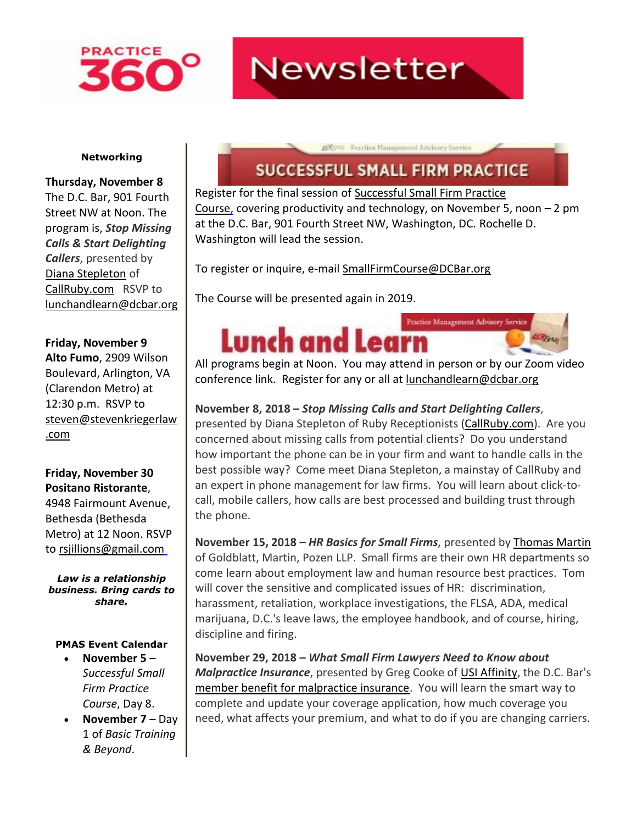

## **Newsletter**

#### **Networking**

**Thursday, November 8** The D.C. Bar, 901 Fourth Street NW at Noon. The program is, *Stop Missing Calls & Start Delighting Callers*, presented by [Diana Stepleton](http://www.mmsend31.com/link.cfm?r=zvkjaWqFFUTRz65Avl-Ftw~~&pe=dW4mGIg6jx_MDJpvUHft6Arq8EhIguWXhtOflIOGW9hyR9owvsuLVSX1mvpatqW4qZqJ0kII4sGDY_-jo0677A~~&t=VGds-4rXoyIwJR4lIsbjfw~~) of [CallRuby.com](http://www.mmsend31.com/link.cfm?r=zvkjaWqFFUTRz65Avl-Ftw~~&pe=_ShBFmNcyEJKJUcQ9Q7cXs-VaqT0eCGfPWgKm4gc-HiwRT7vBJJ3I_yitigy-GKfT708vIP0D3eWyKx37uc6LQ~~&t=VGds-4rXoyIwJR4lIsbjfw~~) RSVP to [lunchandlearn@dcbar.org](mailto:lunchandlearn@dcbar.org)

#### **Friday, November 9**

**Alto Fumo**, 2909 Wilson Boulevard, Arlington, VA (Clarendon Metro) at 12:30 p.m. RSVP to [steven@stevenkriegerlaw](mailto:steven@stevenkriegerlaw.com) [.com](mailto:steven@stevenkriegerlaw.com)

#### **Friday, November 30 Positano Ristorante**,

4948 Fairmount Avenue, Bethesda (Bethesda Metro) at 12 Noon. RSVP to [rsjillions@gmail.com](mailto:rsjillions@gmail.com)

*Law is a relationship business. Bring cards to share.*

#### **PMAS Event Calendar**

- **November 5** *Successful Small Firm Practice Course*, Day 8.
- **November 7** Day 1 of *Basic Training & Beyond*.

### **SUCCESSFUL SMALL FIRM PRACTICE**

2002Alt Practice Management Advisory Service

Register for the final session of [Successful Small Firm Practice](http://www.mmsend31.com/link.cfm?r=zvkjaWqFFUTRz65Avl-Ftw~~&pe=7ZgLInecdb-mmltXB7_EOJ1b9w09drIxCbDt8Vy-69srMpSAJRXZiuAYKviM6r9GXoqcvVxCNjGWRXY50hzzDQ~~&t=VGds-4rXoyIwJR4lIsbjfw~~)  [Course,](http://www.mmsend31.com/link.cfm?r=zvkjaWqFFUTRz65Avl-Ftw~~&pe=7ZgLInecdb-mmltXB7_EOJ1b9w09drIxCbDt8Vy-69srMpSAJRXZiuAYKviM6r9GXoqcvVxCNjGWRXY50hzzDQ~~&t=VGds-4rXoyIwJR4lIsbjfw~~) covering productivity and technology, on November 5, noon – 2 pm at the D.C. Bar, 901 Fourth Street NW, Washington, DC. Rochelle D. Washington will lead the session.

To register or inquire, e-mail [SmallFirmCourse@DCBar.org](mailto:SmallFirmCourse@DCBar.org)

The Course will be presented again in 2019.



All programs begin at Noon. You may attend in person or by our Zoom video conference link. Register for any or all at [lunchandlearn@dcbar.org](mailto:lunchandlearn@dcbar.org)

### **November 8, 2018 –** *Stop Missing Calls and Start Delighting Callers*,

presented by Diana Stepleton of Ruby Receptionists [\(CallRuby.com\)](http://www.mmsend31.com/link.cfm?r=zvkjaWqFFUTRz65Avl-Ftw~~&pe=Mpn4Xzj555ivkNSB1Prudwu47FywVlGDTtoVggZBdGLyi8oGVV0A3ft0Wei6R9galRvR-narjnQfV_ivMMQ3Iw~~&t=VGds-4rXoyIwJR4lIsbjfw~~). Are you concerned about missing calls from potential clients? Do you understand how important the phone can be in your firm and want to handle calls in the best possible way? Come meet Diana Stepleton, a mainstay of CallRuby and an expert in phone management for law firms. You will learn about click-tocall, mobile callers, how calls are best processed and building trust through the phone.

**November 15, 2018 –** *HR Basics for Small Firms*, presented by [Thomas](http://www.mmsend31.com/link.cfm?r=zvkjaWqFFUTRz65Avl-Ftw~~&pe=h2tnVefKJ_uNpXdzJlt2SmcG5_VUmpK8xG9nSaHYqOzZ87v5l27nOKmdrKNnCxhDYNONFo9RYjppa1_FtsXhPA~~&t=VGds-4rXoyIwJR4lIsbjfw~~) Martin of Goldblatt, Martin, Pozen LLP. Small firms are their own HR departments so come learn about employment law and human resource best practices. Tom will cover the sensitive and complicated issues of HR: discrimination, harassment, retaliation, workplace investigations, the FLSA, ADA, medical marijuana, D.C.'s leave laws, the employee handbook, and of course, hiring, discipline and firing.

**November 29, 2018 –** *What Small Firm Lawyers Need to Know about Malpractice Insurance*, presented by Greg Cooke o[f USI Affinity,](http://www.mmsend31.com/link.cfm?r=zvkjaWqFFUTRz65Avl-Ftw~~&pe=HscuVbvE6-g8Rbv_O6ZCGv9hK12UiLHrsNcJvvU8MVBAh4VeaRfLxBLJoRSuV47QR8yQgLIQukCvY-p6s4G5zA~~&t=VGds-4rXoyIwJR4lIsbjfw~~) the D.C. Bar's [member benefit for malpractice insurance.](http://www.mmsend31.com/link.cfm?r=zvkjaWqFFUTRz65Avl-Ftw~~&pe=dzNYhjwczbZ40_uK7M6mYKozNulCFL0UWz3zu8hYqW8OeRE9VohB7Eknt0SpF126c-KT-EY1Mntzv8Gpa6V1kg~~&t=VGds-4rXoyIwJR4lIsbjfw~~) You will learn the smart way to complete and update your coverage application, how much coverage you need, what affects your premium, and what to do if you are changing carriers.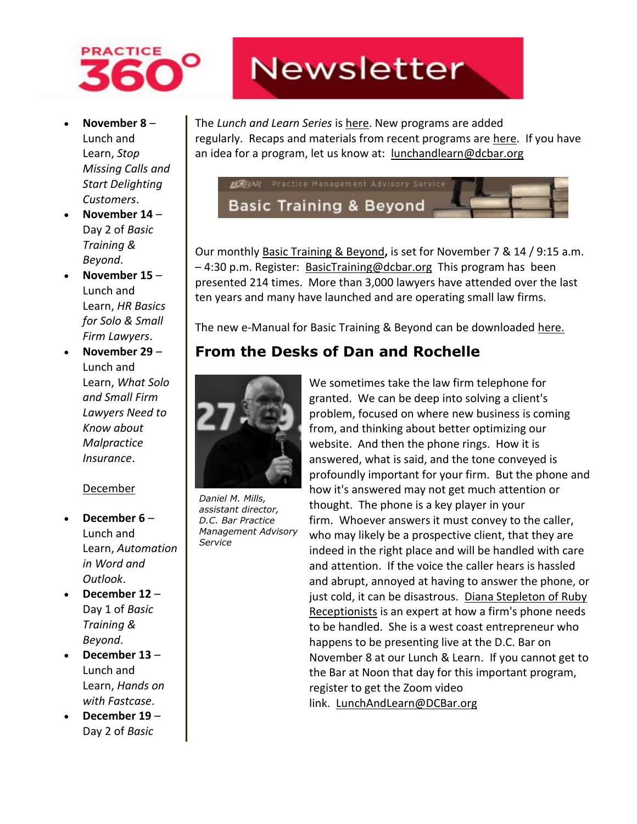

- **November 8** Lunch and Learn, *Stop Missing Calls and Start Delighting Customers*.
- **November 14** Day 2 of *Basic Training & Beyond*.
- **November 15** Lunch and Learn, *HR Basics for Solo & Small Firm Lawyers*.
- **November 29** Lunch and Learn, *What Solo and Small Firm Lawyers Need to Know about Malpractice Insurance*.

#### December

- **December 6** Lunch and Learn, *Automation in Word and Outlook*.
- **December 12** Day 1 of *Basic Training & Beyond*.
- **December 13** Lunch and Learn, *Hands on with Fastcase*.
- **December 19** Day 2 of *Basic*

# **Newsletter**

The *Lunch and Learn Series* is [here.](http://www.mmsend31.com/link.cfm?r=zvkjaWqFFUTRz65Avl-Ftw~~&pe=fdknS8Q73Cwv9NzYl28FjY2ZSEMwu6i5rznsCQJs3EKajYovZ0M1L6JqAgVAF_AzFcOcSzG7rAmjqUawAAdZkA~~&t=VGds-4rXoyIwJR4lIsbjfw~~) New programs are added regularly. Recaps and materials from recent programs are [here.](http://www.mmsend31.com/link.cfm?r=zvkjaWqFFUTRz65Avl-Ftw~~&pe=wnXd1p-e7x1pjZ3gbvykjc1swfdfKPTthzIqbfhiI_ryfLeBqpbiCJLIaXc2s3fEB-pd5VIgIc6YYeRMQG10fw~~&t=VGds-4rXoyIwJR4lIsbjfw~~) If you have an idea for a program, let us know at: [lunchandlearn@dcbar.org](mailto:lunchandlearn@dcbar.org)



Our monthly [Basic Training & Beyond](http://www.mmsend31.com/link.cfm?r=zvkjaWqFFUTRz65Avl-Ftw~~&pe=TJzg7FuLMmv3KInU9zb76JvuSqPGiR3DBDS-oEp5BHJIK7oJBWGAH45DNdQQ7IKAbCev5Gn9H4-7moxIWaEfJA~~&t=VGds-4rXoyIwJR4lIsbjfw~~)**,** is set for November 7 & 14 / 9:15 a.m. – 4:30 p.m. Register: [BasicTraining@dcbar.org](mailto:BasicTraining@dcbar.org) This program has been presented 214 times. More than 3,000 lawyers have attended over the last ten years and many have launched and are operating small law firms.

The new e-Manual for Basic Training & Beyond can be downloaded [here.](http://www.mmsend31.com/link.cfm?r=zvkjaWqFFUTRz65Avl-Ftw~~&pe=5NaXPXgStbmgPwFIQTFJ6222Eni8j-M78djl66GKGE7Lf6RWOmWREB-PHNO7y3FsFwNgP38Sj2GUXEj32wTWLg~~&t=VGds-4rXoyIwJR4lIsbjfw~~)

### **From the Desks of Dan and Rochelle**



*Daniel M. Mills, assistant director, D.C. Bar Practice Management Advisory Service*

We sometimes take the law firm telephone for granted. We can be deep into solving a client's problem, focused on where new business is coming from, and thinking about better optimizing our website. And then the phone rings. How it is answered, what is said, and the tone conveyed is profoundly important for your firm. But the phone and how it's answered may not get much attention or thought. The phone is a key player in your firm. Whoever answers it must convey to the caller, who may likely be a prospective client, that they are indeed in the right place and will be handled with care and attention. If the voice the caller hears is hassled and abrupt, annoyed at having to answer the phone, or just cold, it can be disastrous. [Diana Stepleton of Ruby](http://www.mmsend31.com/link.cfm?r=zvkjaWqFFUTRz65Avl-Ftw~~&pe=xFZMj3DKze1QHmp3k1ZMoZlAz16Ivw_dwaMIHBlDHQZ1pbtqdVxS-slGkAE4DrkNhMy7XxBBuadULBoD-9-XTg~~&t=VGds-4rXoyIwJR4lIsbjfw~~)  [Receptionists](http://www.mmsend31.com/link.cfm?r=zvkjaWqFFUTRz65Avl-Ftw~~&pe=xFZMj3DKze1QHmp3k1ZMoZlAz16Ivw_dwaMIHBlDHQZ1pbtqdVxS-slGkAE4DrkNhMy7XxBBuadULBoD-9-XTg~~&t=VGds-4rXoyIwJR4lIsbjfw~~) is an expert at how a firm's phone needs to be handled. She is a west coast entrepreneur who happens to be presenting live at the D.C. Bar on November 8 at our Lunch & Learn. If you cannot get to the Bar at Noon that day for this important program, register to get the Zoom video link. [LunchAndLearn@DCBar.org](mailto:LunchAndLearn@DCBar.org)